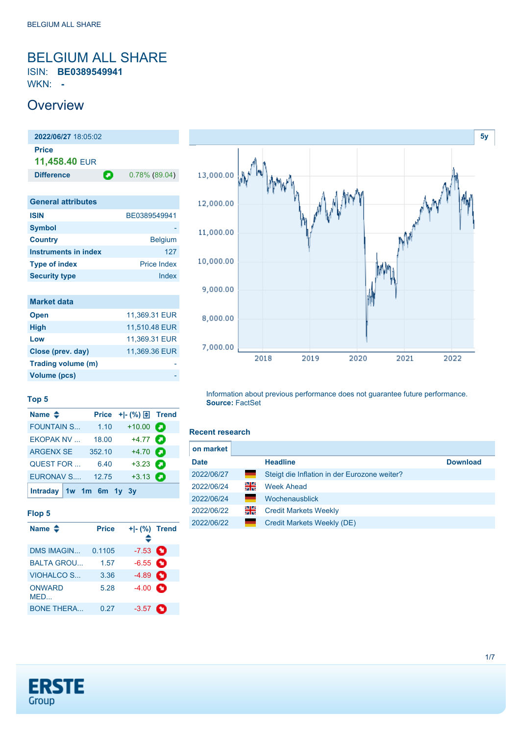### <span id="page-0-0"></span>BELGIUM ALL SHARE ISIN: **BE0389549941**

WKN: **-**

## **Overview**

**2022/06/27** 18:05:02 **Price 11,458.40** EUR **Difference 0.78% (89.04)** 

| <b>General attributes</b> |                    |
|---------------------------|--------------------|
| <b>ISIN</b>               | BE0389549941       |
| <b>Symbol</b>             |                    |
| <b>Country</b>            | <b>Belgium</b>     |
| Instruments in index      | 127                |
| <b>Type of index</b>      | <b>Price Index</b> |
| <b>Security type</b>      | Index              |
|                           |                    |

| <b>Market data</b> |               |
|--------------------|---------------|
| <b>Open</b>        | 11.369.31 EUR |
| <b>High</b>        | 11,510.48 EUR |
| Low                | 11,369.31 EUR |
| Close (prev. day)  | 11,369.36 EUR |
| Trading volume (m) |               |
| Volume (pcs)       |               |



#### **Top 5**

| Name $\triangleq$       |        |                   |   |
|-------------------------|--------|-------------------|---|
| <b>FOUNTAIN S</b>       | 1.10   | $+10.00$          | Ð |
| <b>EKOPAK NV</b>        | 18.00  | $+4.77$ $\bullet$ |   |
| <b>ARGENX SE</b>        | 352.10 | $+4.70$ $\bullet$ |   |
| QUEST FOR               | 6.40   | $+3.23$ $\bullet$ |   |
| <b>EURONAV S</b>        | 12.75  | $+3.13$ $\bullet$ |   |
| Intraday 1w 1m 6m 1y 3y |        |                   |   |

#### **Flop 5**

| Name $\triangleq$    | <b>Price</b> | $+I-(\%)$ Trend<br>≏ |  |
|----------------------|--------------|----------------------|--|
| <b>DMS IMAGIN</b>    | 0.1105       | $-7.53$ $\bullet$    |  |
| <b>BALTA GROU</b>    | 1.57         | $-6.55$ $\bullet$    |  |
| VIOHALCO S           | 3.36         | $-4.89$ $\bullet$    |  |
| <b>ONWARD</b><br>MED | 5.28         | $-4.00$ $\bullet$    |  |
| <b>BONE THERA</b>    | 0.27         | $-3.57$              |  |

Information about previous performance does not guarantee future performance. **Source:** FactSet

#### **Recent research**

| on market   |    |                                              |                 |
|-------------|----|----------------------------------------------|-----------------|
| <b>Date</b> |    | <b>Headline</b>                              | <b>Download</b> |
| 2022/06/27  | =  | Steigt die Inflation in der Eurozone weiter? |                 |
| 2022/06/24  | 읡  | <b>Week Ahead</b>                            |                 |
| 2022/06/24  |    | Wochenausblick                               |                 |
| 2022/06/22  | 꾉뚢 | <b>Credit Markets Weekly</b>                 |                 |
| 2022/06/22  | ٠  | Credit Markets Weekly (DE)                   |                 |

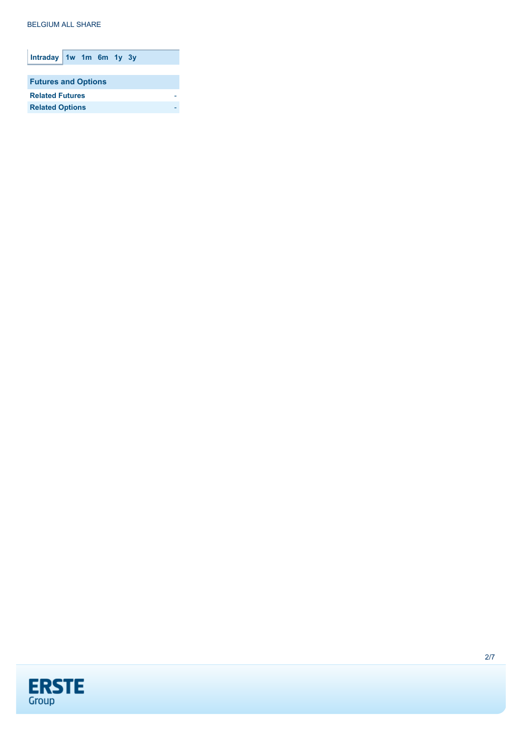| Intraday 1w 1m 6m 1y 3y    |  |  |  |  |
|----------------------------|--|--|--|--|
|                            |  |  |  |  |
| <b>Futures and Options</b> |  |  |  |  |
| <b>Related Futures</b>     |  |  |  |  |
| <b>Related Options</b>     |  |  |  |  |
|                            |  |  |  |  |

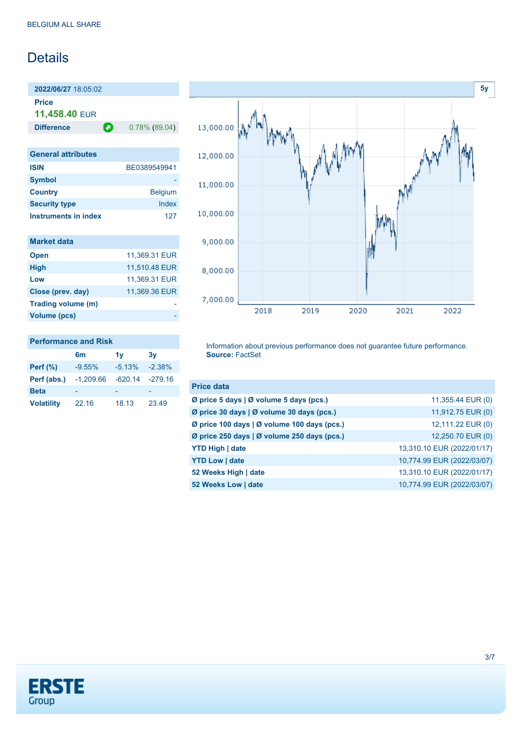## **Details**

**2022/06/27** 18:05:02

**Price**

**11,458.40** EUR

**Difference 0.78% (89.04)** 

| <b>General attributes</b> |                |
|---------------------------|----------------|
| <b>ISIN</b>               | BF0389549941   |
| <b>Symbol</b>             |                |
| <b>Country</b>            | <b>Belgium</b> |
| <b>Security type</b>      | Index          |
| Instruments in index      | 127            |

| <b>Market data</b> |               |
|--------------------|---------------|
| <b>Open</b>        | 11.369.31 EUR |
| <b>High</b>        | 11,510.48 EUR |
| Low                | 11,369.31 EUR |
| Close (prev. day)  | 11.369.36 EUR |
| Trading volume (m) |               |
| Volume (pcs)       |               |



#### **Performance and Risk**

|                   | 6 <sub>m</sub> | 1v                  | 3v       |
|-------------------|----------------|---------------------|----------|
| <b>Perf</b> (%)   | $-9.55%$       | $-5.13%$            | $-2.38%$ |
| Perf (abs.)       | $-1.209.66$    | $-620.14$ $-279.16$ |          |
| <b>Beta</b>       |                |                     |          |
| <b>Volatility</b> | 22.16          | 18.13               | 23.49    |

Information about previous performance does not guarantee future performance. **Source:** FactSet

| <b>Price data</b>                           |                            |
|---------------------------------------------|----------------------------|
| Ø price 5 days   Ø volume 5 days (pcs.)     | 11,355.44 EUR (0)          |
| Ø price 30 days   Ø volume 30 days (pcs.)   | 11,912.75 EUR (0)          |
| Ø price 100 days   Ø volume 100 days (pcs.) | 12,111.22 EUR (0)          |
| Ø price 250 days   Ø volume 250 days (pcs.) | 12,250.70 EUR (0)          |
| <b>YTD High   date</b>                      | 13,310.10 EUR (2022/01/17) |
| <b>YTD Low   date</b>                       | 10,774.99 EUR (2022/03/07) |
| 52 Weeks High   date                        | 13,310.10 EUR (2022/01/17) |
| 52 Weeks Low   date                         | 10,774.99 EUR (2022/03/07) |

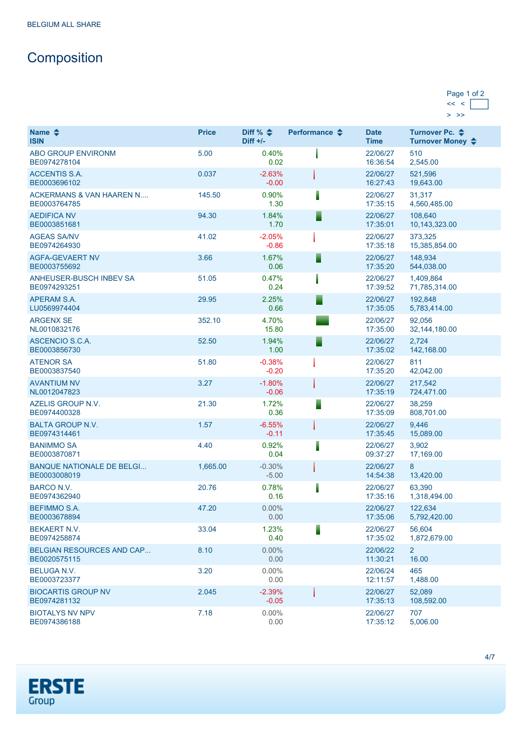# **Composition**

#### Page 1 of 2  $<< <$  $>$   $>$

| Name $\triangle$<br><b>ISIN</b>                     | <b>Price</b> | Diff % $\triangleq$<br>Diff $+/-$ | Performance $\triangle$ | <b>Date</b><br><b>Time</b> | Turnover Pc. ♦<br>Turnover Money ♦ |
|-----------------------------------------------------|--------------|-----------------------------------|-------------------------|----------------------------|------------------------------------|
| <b>ABO GROUP ENVIRONM</b><br>BE0974278104           | 5.00         | 0.40%<br>0.02                     |                         | 22/06/27<br>16:36:54       | 510<br>2,545.00                    |
| <b>ACCENTIS S.A.</b><br>BE0003696102                | 0.037        | $-2.63%$<br>$-0.00$               |                         | 22/06/27<br>16:27:43       | 521,596<br>19,643.00               |
| <b>ACKERMANS &amp; VAN HAAREN N</b><br>BE0003764785 | 145.50       | 0.90%<br>1.30                     |                         | 22/06/27<br>17:35:15       | 31,317<br>4,560,485.00             |
| <b>AEDIFICA NV</b><br>BE0003851681                  | 94.30        | 1.84%<br>1.70                     |                         | 22/06/27<br>17:35:01       | 108,640<br>10,143,323.00           |
| <b>AGEAS SA/NV</b><br>BE0974264930                  | 41.02        | $-2.05%$<br>$-0.86$               |                         | 22/06/27<br>17:35:18       | 373,325<br>15,385,854.00           |
| <b>AGFA-GEVAERT NV</b><br>BE0003755692              | 3.66         | 1.67%<br>0.06                     |                         | 22/06/27<br>17:35:20       | 148,934<br>544,038.00              |
| ANHEUSER-BUSCH INBEV SA<br>BE0974293251             | 51.05        | 0.47%<br>0.24                     |                         | 22/06/27<br>17:39:52       | 1,409,864<br>71,785,314.00         |
| APERAM S.A.<br>LU0569974404                         | 29.95        | 2.25%<br>0.66                     |                         | 22/06/27<br>17:35:05       | 192,848<br>5,783,414.00            |
| <b>ARGENX SE</b><br>NL0010832176                    | 352.10       | 4.70%<br>15.80                    |                         | 22/06/27<br>17:35:00       | 92,056<br>32, 144, 180.00          |
| ASCENCIO S.C.A.<br>BE0003856730                     | 52.50        | 1.94%<br>1.00                     |                         | 22/06/27<br>17:35:02       | 2,724<br>142,168.00                |
| <b>ATENOR SA</b><br>BE0003837540                    | 51.80        | $-0.38%$<br>$-0.20$               |                         | 22/06/27<br>17:35:20       | 811<br>42,042.00                   |
| <b>AVANTIUM NV</b><br>NL0012047823                  | 3.27         | $-1.80%$<br>$-0.06$               |                         | 22/06/27<br>17:35:19       | 217,542<br>724,471.00              |
| AZELIS GROUP N.V.<br>BE0974400328                   | 21.30        | 1.72%<br>0.36                     |                         | 22/06/27<br>17:35:09       | 38,259<br>808,701.00               |
| <b>BALTA GROUP N.V.</b><br>BE0974314461             | 1.57         | $-6.55%$<br>$-0.11$               |                         | 22/06/27<br>17:35:45       | 9,446<br>15,089.00                 |
| <b>BANIMMO SA</b><br>BE0003870871                   | 4.40         | 0.92%<br>0.04                     |                         | 22/06/27<br>09:37:27       | 3,902<br>17,169.00                 |
| <b>BANQUE NATIONALE DE BELGI</b><br>BE0003008019    | 1,665.00     | $-0.30%$<br>$-5.00$               |                         | 22/06/27<br>14:54:38       | 8<br>13,420.00                     |
| <b>BARCO N.V.</b><br>BE0974362940                   | 20.76        | 0.78%<br>0.16                     |                         | 22/06/27<br>17:35:16       | 63.390<br>1,318,494.00             |
| <b>BEFIMMO S.A.</b><br>BE0003678894                 | 47.20        | 0.00%<br>0.00                     |                         | 22/06/27<br>17:35:06       | 122,634<br>5,792,420.00            |
| <b>BEKAERT N.V.</b><br>BE0974258874                 | 33.04        | 1.23%<br>0.40                     |                         | 22/06/27<br>17:35:02       | 56,604<br>1,872,679.00             |
| <b>BELGIAN RESOURCES AND CAP</b><br>BE0020575115    | 8.10         | $0.00\%$<br>0.00                  |                         | 22/06/22<br>11:30:21       | $2^{\circ}$<br>16.00               |
| <b>BELUGA N.V.</b><br>BE0003723377                  | 3.20         | $0.00\%$<br>0.00                  |                         | 22/06/24<br>12:11:57       | 465<br>1,488.00                    |
| <b>BIOCARTIS GROUP NV</b><br>BE0974281132           | 2.045        | $-2.39%$<br>$-0.05$               |                         | 22/06/27<br>17:35:13       | 52,089<br>108,592.00               |
| <b>BIOTALYS NV NPV</b><br>BE0974386188              | 7.18         | $0.00\%$<br>0.00                  |                         | 22/06/27<br>17:35:12       | 707<br>5,006.00                    |

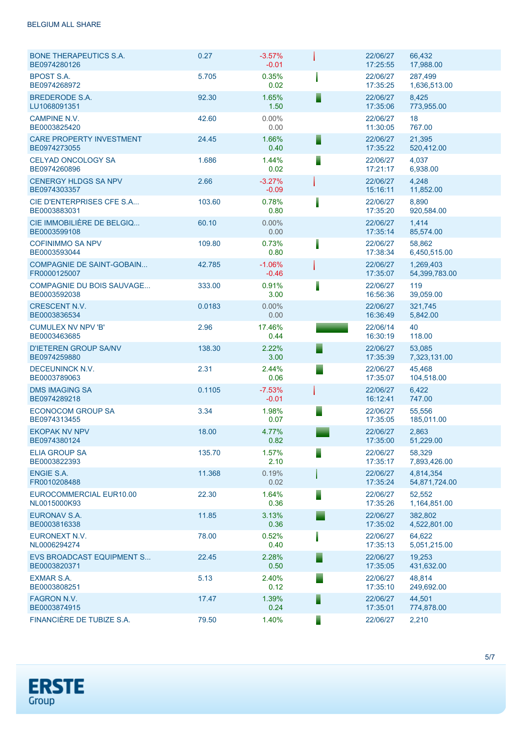| <b>BONE THERAPEUTICS S.A.</b><br>BE0974280126    | 0.27   | $-3.57%$<br>$-0.01$ |   | 22/06/27<br>17:25:55 | 66,432<br>17,988.00        |
|--------------------------------------------------|--------|---------------------|---|----------------------|----------------------------|
| <b>BPOST S.A.</b><br>BE0974268972                | 5.705  | 0.35%<br>0.02       |   | 22/06/27<br>17:35:25 | 287,499<br>1,636,513.00    |
| BREDERODE S.A.<br>LU1068091351                   | 92.30  | 1.65%<br>1.50       |   | 22/06/27<br>17:35:06 | 8,425<br>773,955.00        |
| <b>CAMPINE N.V.</b><br>BE0003825420              | 42.60  | $0.00\%$<br>0.00    |   | 22/06/27<br>11:30:05 | 18<br>767.00               |
| <b>CARE PROPERTY INVESTMENT</b><br>BE0974273055  | 24.45  | 1.66%<br>0.40       |   | 22/06/27<br>17:35:22 | 21,395<br>520,412.00       |
| <b>CELYAD ONCOLOGY SA</b><br>BE0974260896        | 1.686  | 1.44%<br>0.02       | Ē | 22/06/27<br>17:21:17 | 4,037<br>6,938.00          |
| <b>CENERGY HLDGS SA NPV</b><br>BE0974303357      | 2.66   | $-3.27%$<br>$-0.09$ |   | 22/06/27<br>15:16:11 | 4,248<br>11,852.00         |
| CIE D'ENTERPRISES CFE S.A<br>BE0003883031        | 103.60 | 0.78%<br>0.80       |   | 22/06/27<br>17:35:20 | 8,890<br>920,584.00        |
| CIE IMMOBILIÈRE DE BELGIQ<br>BE0003599108        | 60.10  | $0.00\%$<br>0.00    |   | 22/06/27<br>17:35:14 | 1,414<br>85,574.00         |
| <b>COFINIMMO SA NPV</b><br>BE0003593044          | 109.80 | 0.73%<br>0.80       |   | 22/06/27<br>17:38:34 | 58,862<br>6,450,515.00     |
| <b>COMPAGNIE DE SAINT-GOBAIN</b><br>FR0000125007 | 42.785 | $-1.06%$<br>$-0.46$ |   | 22/06/27<br>17:35:07 | 1,269,403<br>54,399,783.00 |
| COMPAGNIE DU BOIS SAUVAGE<br>BE0003592038        | 333.00 | 0.91%<br>3.00       | I | 22/06/27<br>16:56:36 | 119<br>39,059.00           |
| <b>CRESCENT N.V.</b><br>BE0003836534             | 0.0183 | $0.00\%$<br>0.00    |   | 22/06/27<br>16:36:49 | 321,745<br>5,842.00        |
| <b>CUMULEX NV NPV 'B'</b><br>BE0003463685        | 2.96   | 17.46%<br>0.44      |   | 22/06/14<br>16:30:19 | 40<br>118.00               |
| <b>D'IETEREN GROUP SA/NV</b><br>BE0974259880     | 138.30 | 2.22%<br>3.00       |   | 22/06/27<br>17:35:39 | 53,085<br>7,323,131.00     |
| DECEUNINCK N.V.<br>BE0003789063                  | 2.31   | 2.44%<br>0.06       |   | 22/06/27<br>17:35:07 | 45,468<br>104,518.00       |
| <b>DMS IMAGING SA</b><br>BE0974289218            | 0.1105 | $-7.53%$<br>$-0.01$ |   | 22/06/27<br>16:12:41 | 6,422<br>747.00            |
| <b>ECONOCOM GROUP SA</b><br>BE0974313455         | 3.34   | 1.98%<br>0.07       |   | 22/06/27<br>17:35:05 | 55,556<br>185,011.00       |
| <b>EKOPAK NV NPV</b><br>BE0974380124             | 18.00  | 4.77%<br>0.82       |   | 22/06/27<br>17:35:00 | 2,863<br>51,229.00         |
| <b>ELIA GROUP SA</b><br>BE0003822393             | 135.70 | 1.57%<br>2.10       |   | 22/06/27<br>17:35:17 | 58.329<br>7,893,426.00     |
| <b>ENGIE S.A.</b><br>FR0010208488                | 11.368 | 0.19%<br>0.02       |   | 22/06/27<br>17:35:24 | 4,814,354<br>54,871,724.00 |
| EUROCOMMERCIAL EUR10.00<br>NL0015000K93          | 22.30  | 1.64%<br>0.36       |   | 22/06/27<br>17:35:26 | 52,552<br>1,164,851.00     |
| <b>EURONAV S.A.</b><br>BE0003816338              | 11.85  | 3.13%<br>0.36       |   | 22/06/27<br>17:35:02 | 382.802<br>4,522,801.00    |
| EURONEXT N.V.<br>NL0006294274                    | 78.00  | 0.52%<br>0.40       |   | 22/06/27<br>17:35:13 | 64,622<br>5,051,215.00     |
| <b>EVS BROADCAST EQUIPMENT S</b><br>BE0003820371 | 22.45  | 2.28%<br>0.50       |   | 22/06/27<br>17:35:05 | 19,253<br>431,632.00       |
| <b>EXMAR S.A.</b><br>BE0003808251                | 5.13   | 2.40%<br>0.12       |   | 22/06/27<br>17:35:10 | 48,814<br>249,692.00       |
| <b>FAGRON N.V.</b><br>BE0003874915               | 17.47  | 1.39%<br>0.24       |   | 22/06/27<br>17:35:01 | 44,501<br>774,878.00       |
| FINANCIÈRE DE TUBIZE S.A.                        | 79.50  | 1.40%               |   | 22/06/27             | 2,210                      |

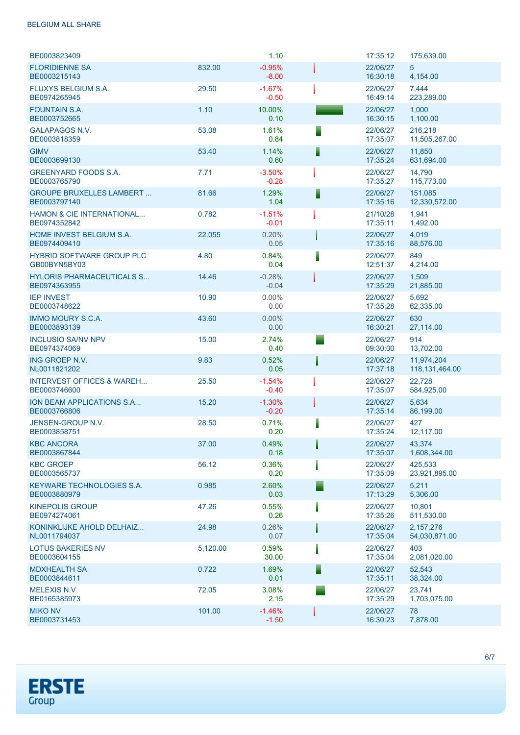| BE0003823409                                         |          | 1.10                | 17:35:12             | 175,639.00                     |
|------------------------------------------------------|----------|---------------------|----------------------|--------------------------------|
| <b>FLORIDIENNE SA</b><br>BE0003215143                | 832.00   | $-0.95%$<br>$-8.00$ | 22/06/27<br>16:30:18 | 5<br>4,154.00                  |
| <b>FLUXYS BELGIUM S.A.</b><br>BE0974265945           | 29.50    | $-1.67%$<br>$-0.50$ | 22/06/27<br>16:49:14 | 7,444<br>223,289.00            |
| <b>FOUNTAIN S.A.</b><br>BE0003752665                 | 1.10     | 10.00%<br>0.10      | 22/06/27<br>16:30:15 | 1,000<br>1,100.00              |
| <b>GALAPAGOS N.V.</b><br>BE0003818359                | 53.08    | 1.61%<br>0.84       | 22/06/27<br>17:35:07 | 216,218<br>11,505,267.00       |
| <b>GIMV</b><br>BE0003699130                          | 53.40    | 1.14%<br>0.60       | 22/06/27<br>17:35:24 | 11,850<br>631,694.00           |
| <b>GREENYARD FOODS S.A.</b><br>BE0003765790          | 7.71     | $-3.50%$<br>$-0.28$ | 22/06/27<br>17:35:27 | 14.790<br>115,773.00           |
| <b>GROUPE BRUXELLES LAMBERT</b><br>BE0003797140      | 81.66    | 1.29%<br>1.04       | 22/06/27<br>17:35:16 | 151,085<br>12,330,572.00       |
| <b>HAMON &amp; CIE INTERNATIONAL</b><br>BE0974352842 | 0.782    | $-1.51%$<br>$-0.01$ | 21/10/28<br>17:35:11 | 1,941<br>1,492.00              |
| <b>HOME INVEST BELGIUM S.A.</b><br>BE0974409410      | 22.055   | 0.20%<br>0.05       | 22/06/27<br>17:35:16 | 4,019<br>88,576.00             |
| <b>HYBRID SOFTWARE GROUP PLC</b><br>GB00BYN5BY03     | 4.80     | 0.84%<br>0.04       | 22/06/27<br>12:51:37 | 849<br>4,214.00                |
| <b>HYLORIS PHARMACEUTICALS S</b><br>BE0974363955     | 14.46    | $-0.28%$<br>$-0.04$ | 22/06/27<br>17:35:29 | 1,509<br>21,885.00             |
| <b>IEP INVEST</b><br>BE0003748622                    | 10.90    | $0.00\%$<br>0.00    | 22/06/27<br>17:35:28 | 5,692<br>62,335.00             |
| <b>IMMO MOURY S.C.A.</b><br>BE0003893139             | 43.60    | 0.00%<br>0.00       | 22/06/27<br>16:30:21 | 630<br>27,114.00               |
| <b>INCLUSIO SA/NV NPV</b><br>BE0974374069            | 15.00    | 2.74%<br>0.40       | 22/06/27<br>09:30:00 | 914<br>13,702.00               |
| ING GROEP N.V.<br>NL0011821202                       | 9.83     | 0.52%<br>0.05       | 22/06/27<br>17:37:18 | 11,974,204<br>118, 131, 464.00 |
| <b>INTERVEST OFFICES &amp; WAREH</b><br>BE0003746600 | 25.50    | $-1.54%$<br>$-0.40$ | 22/06/27<br>17:35:07 | 22,728<br>584,925.00           |
| ION BEAM APPLICATIONS S.A<br>BE0003766806            | 15.20    | $-1.30%$<br>$-0.20$ | 22/06/27<br>17:35:14 | 5,634<br>86,199.00             |
| JENSEN-GROUP N.V.<br>BE0003858751                    | 28.50    | 0.71%<br>0.20       | 22/06/27<br>17:35:24 | 427<br>12,117.00               |
| <b>KBC ANCORA</b><br>BE0003867844                    | 37.00    | 0.49%<br>0.18       | 22/06/27<br>17:35:07 | 43,374<br>1,608,344.00         |
| <b>KBC GROEP</b><br>BE0003565737                     | 56.12    | 0.36%<br>0.20       | 22/06/27<br>17:35:09 | 425,533<br>23,921,895.00       |
| <b>KEYWARE TECHNOLOGIES S.A.</b><br>BE0003880979     | 0.985    | 2.60%<br>0.03       | 22/06/27<br>17:13:29 | 5,211<br>5,306.00              |
| <b>KINEPOLIS GROUP</b><br>BE0974274061               | 47.26    | 0.55%<br>0.26       | 22/06/27<br>17:35:26 | 10,801<br>511,530.00           |
| KONINKLIJKE AHOLD DELHAIZ<br>NL0011794037            | 24.98    | 0.26%<br>0.07       | 22/06/27<br>17:35:04 | 2,157,276<br>54,030,871.00     |
| <b>LOTUS BAKERIES NV</b><br>BE0003604155             | 5,120.00 | 0.59%<br>30.00      | 22/06/27<br>17:35:04 | 403<br>2,081,020.00            |
| <b>MDXHEALTH SA</b><br>BE0003844611                  | 0.722    | 1.69%<br>0.01       | 22/06/27<br>17:35:11 | 52,543<br>38,324.00            |
| <b>MELEXIS N.V.</b><br>BE0165385973                  | 72.05    | 3.08%<br>2.15       | 22/06/27<br>17:35:29 | 23,741<br>1,703,075.00         |
| <b>MIKO NV</b><br>BE0003731453                       | 101.00   | $-1.46%$<br>$-1.50$ | 22/06/27<br>16:30:23 | 78<br>7,878.00                 |